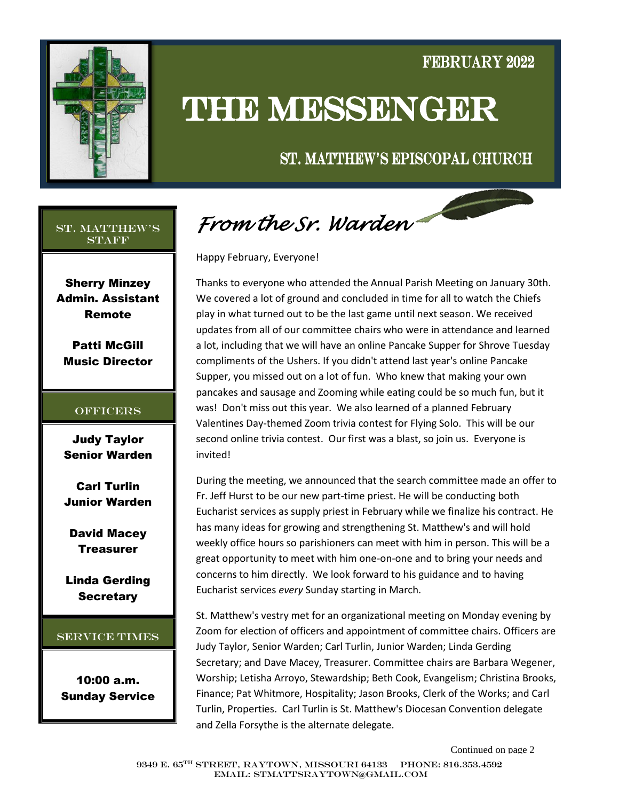

### FEBRUARY 2022

# **THE MESSENGER**

### ST. MATTHEW'S EPISCOPAL CHURCH

#### St. Matthew's **STAFF**

Sherry Minzey Admin. Assistant Remote

Patti McGill Music Director

#### **OFFICERS**

Judy Taylor Senior Warden

Carl Turlin Junior Warden

David Macey **Treasurer** 

Linda Gerding **Secretary** 

#### Service Times

10:00 a.m. Sunday Service

*From the Sr. Warden* 

Happy February, Everyone!

Thanks to everyone who attended the Annual Parish Meeting on January 30th. We covered a lot of ground and concluded in time for all to watch the Chiefs play in what turned out to be the last game until next season. We received updates from all of our committee chairs who were in attendance and learned a lot, including that we will have an online Pancake Supper for Shrove Tuesday compliments of the Ushers. If you didn't attend last year's online Pancake Supper, you missed out on a lot of fun. Who knew that making your own pancakes and sausage and Zooming while eating could be so much fun, but it was! Don't miss out this year. We also learned of a planned February Valentines Day-themed Zoom trivia contest for Flying Solo. This will be our second online trivia contest. Our first was a blast, so join us. Everyone is invited!

During the meeting, we announced that the search committee made an offer to Fr. Jeff Hurst to be our new part-time priest. He will be conducting both Eucharist services as supply priest in February while we finalize his contract. He has many ideas for growing and strengthening St. Matthew's and will hold weekly office hours so parishioners can meet with him in person. This will be a great opportunity to meet with him one-on-one and to bring your needs and concerns to him directly. We look forward to his guidance and to having Eucharist services *every* Sunday starting in March.

St. Matthew's vestry met for an organizational meeting on Monday evening by Zoom for election of officers and appointment of committee chairs. Officers are Judy Taylor, Senior Warden; Carl Turlin, Junior Warden; Linda Gerding Secretary; and Dave Macey, Treasurer. Committee chairs are Barbara Wegener, Worship; Letisha Arroyo, Stewardship; Beth Cook, Evangelism; Christina Brooks, Finance; Pat Whitmore, Hospitality; Jason Brooks, Clerk of the Works; and Carl Turlin, Properties. Carl Turlin is St. Matthew's Diocesan Convention delegate and Zella Forsythe is the alternate delegate.

Continued on page 2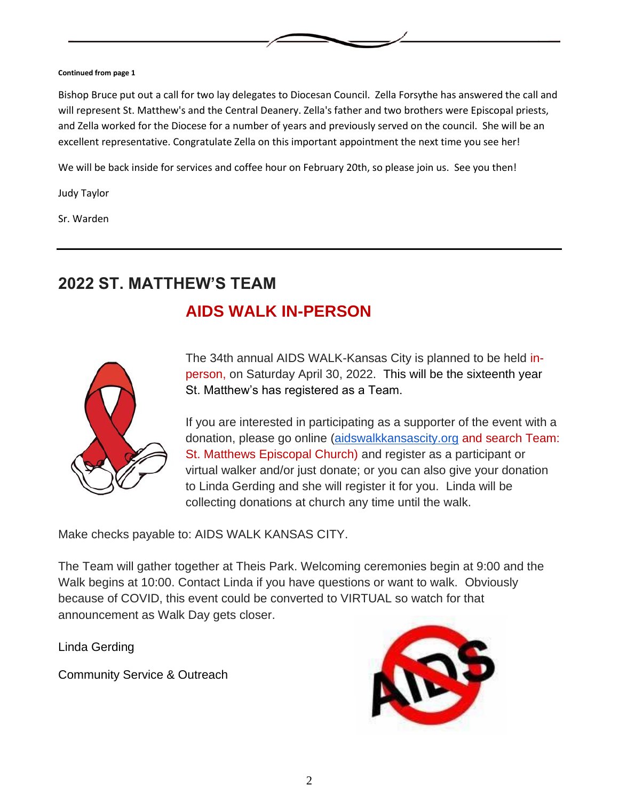#### **Continued from page 1**

Bishop Bruce put out a call for two lay delegates to Diocesan Council. Zella Forsythe has answered the call and will represent St. Matthew's and the Central Deanery. Zella's father and two brothers were Episcopal priests, and Zella worked for the Diocese for a number of years and previously served on the council. She will be an excellent representative. Congratulate Zella on this important appointment the next time you see her!

We will be back inside for services and coffee hour on February 20th, so please join us. See you then!

Judy Taylor

Sr. Warden

### **2022 ST. MATTHEW'S TEAM**

### **AIDS WALK IN-PERSON**



The 34th annual AIDS WALK-Kansas City is planned to be held inperson, on Saturday April 30, 2022. This will be the sixteenth year St. Matthew's has registered as a Team.

If you are interested in participating as a supporter of the event with a donation, please go online [\(aidswalkkansascity.org](http://aidswalkkansascity.org/) and search Team: St. Matthews Episcopal Church) and register as a participant or virtual walker and/or just donate; or you can also give your donation to Linda Gerding and she will register it for you. Linda will be collecting donations at church any time until the walk.

Make checks payable to: AIDS WALK KANSAS CITY.

The Team will gather together at Theis Park. Welcoming ceremonies begin at 9:00 and the Walk begins at 10:00. Contact Linda if you have questions or want to walk. Obviously because of COVID, this event could be converted to VIRTUAL so watch for that announcement as Walk Day gets closer.

Linda Gerding

Community Service & Outreach

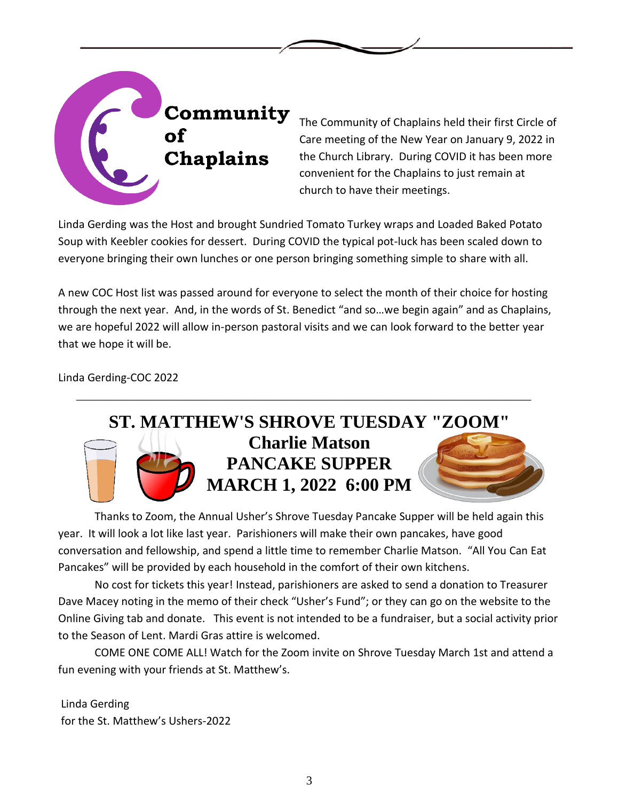

The Community of Chaplains held their first Circle of Care meeting of the New Year on January 9, 2022 in the Church Library. During COVID it has been more convenient for the Chaplains to just remain at church to have their meetings.

Linda Gerding was the Host and brought Sundried Tomato Turkey wraps and Loaded Baked Potato Soup with Keebler cookies for dessert. During COVID the typical pot-luck has been scaled down to everyone bringing their own lunches or one person bringing something simple to share with all.

A new COC Host list was passed around for everyone to select the month of their choice for hosting through the next year. And, in the words of St. Benedict "and so…we begin again" and as Chaplains, we are hopeful 2022 will allow in-person pastoral visits and we can look forward to the better year that we hope it will be.

\_\_\_\_\_\_\_\_\_\_\_\_\_\_\_\_\_\_\_\_\_\_\_\_\_\_\_\_\_\_\_\_\_\_\_\_\_\_\_\_\_\_\_\_\_\_\_\_\_\_\_\_\_\_\_\_\_\_\_\_\_\_\_\_\_\_\_\_\_\_\_\_

Linda Gerding-COC 2022



Thanks to Zoom, the Annual Usher's Shrove Tuesday Pancake Supper will be held again this year. It will look a lot like last year. Parishioners will make their own pancakes, have good conversation and fellowship, and spend a little time to remember Charlie Matson. "All You Can Eat Pancakes" will be provided by each household in the comfort of their own kitchens.

No cost for tickets this year! Instead, parishioners are asked to send a donation to Treasurer Dave Macey noting in the memo of their check "Usher's Fund"; or they can go on the website to the Online Giving tab and donate. This event is not intended to be a fundraiser, but a social activity prior to the Season of Lent. Mardi Gras attire is welcomed.

COME ONE COME ALL! Watch for the Zoom invite on Shrove Tuesday March 1st and attend a fun evening with your friends at St. Matthew's.

Linda Gerding for the St. Matthew's Ushers-2022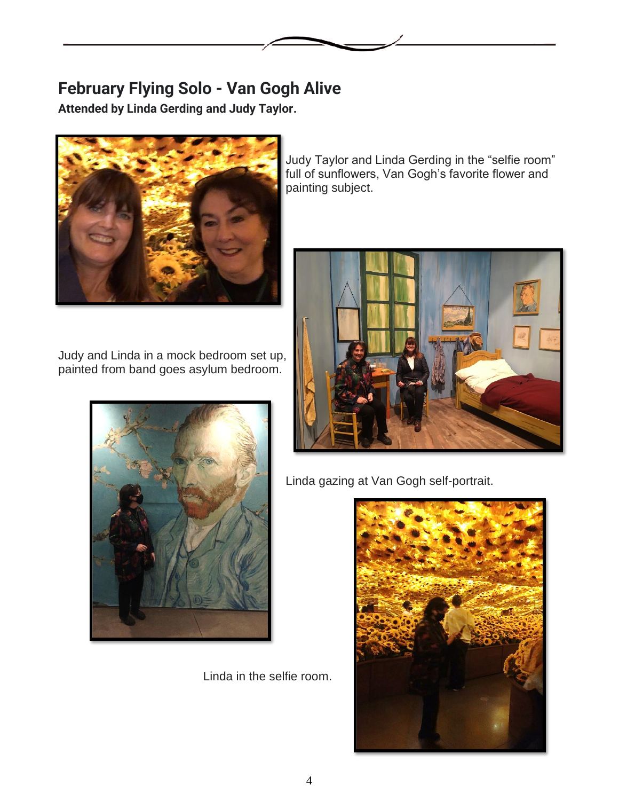# **February Flying Solo - Van Gogh Alive**

**Attended by Linda Gerding and Judy Taylor.**



Judy and Linda in a mock bedroom set up, painted from band goes asylum bedroom.



Linda in the selfie room.

Judy Taylor and Linda Gerding in the "selfie room" full of sunflowers, Van Gogh's favorite flower and painting subject.



Linda gazing at Van Gogh self-portrait.

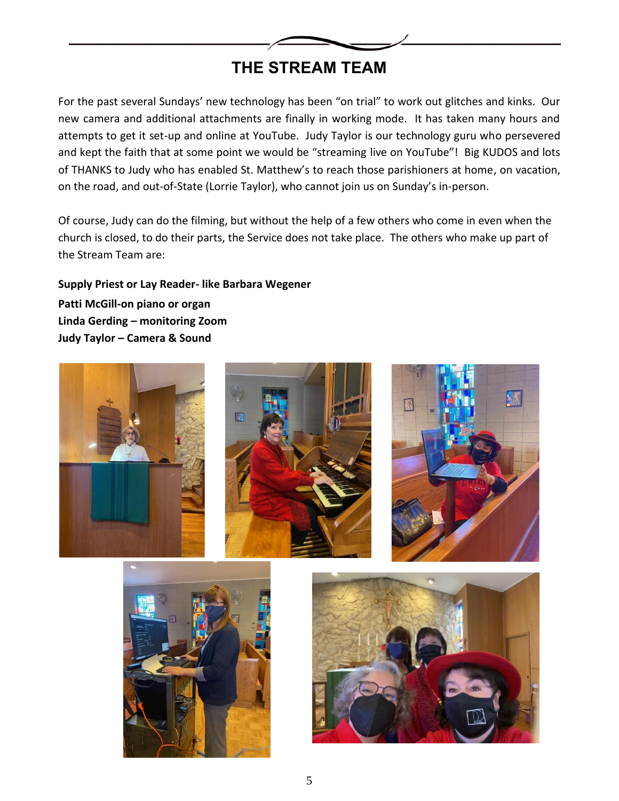

## **THE STREAM TEAM**

For the past several Sundays' new technology has been "on trial" to work out glitches and kinks. Our new camera and additional attachments are finally in working mode. It has taken many hours and attempts to get it set-up and online at YouTube. Judy Taylor is our technology guru who persevered and kept the faith that at some point we would be "streaming live on YouTube"! Big KUDOS and lots of THANKS to Judy who has enabled St. Matthew's to reach those parishioners at home, on vacation, on the road, and out-of-State (Lorrie Taylor), who cannot join us on Sunday's in-person.

Of course, Judy can do the filming, but without the help of a few others who come in even when the church is closed, to do their parts, the Service does not take place. The others who make up part of the Stream Team are:

**Supply Priest or Lay Reader- like Barbara Wegener Patti McGill-on piano or organ Linda Gerding – monitoring Zoom Judy Taylor – Camera & Sound**